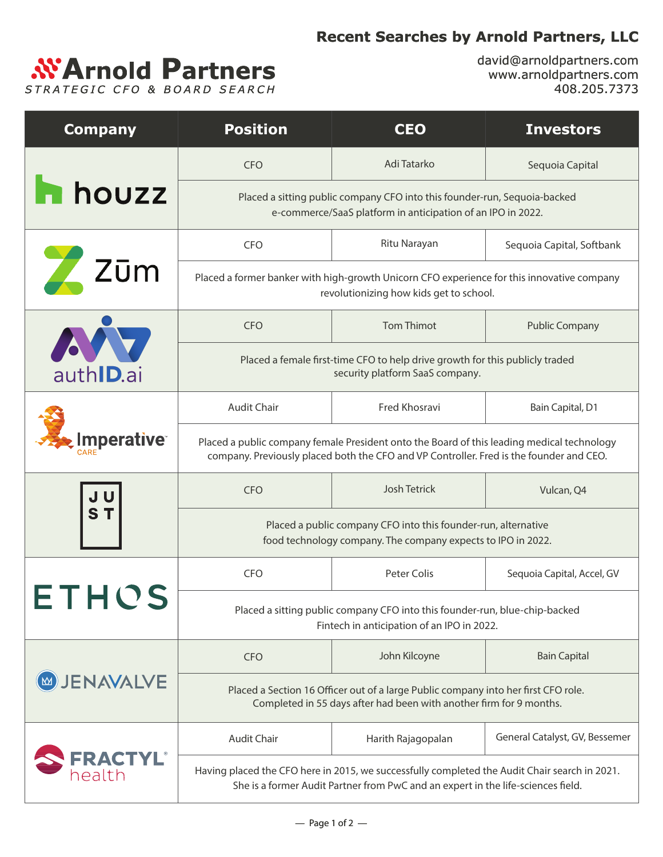## **Recent Searches by Arnold Partners, LLC**



david@arnoldpartners.com www.arnoldpartners.com 408.205.7373

| <b>Company</b>            | <b>Position</b>                                                                                                                                                                       | <b>CEO</b>         | <b>Investors</b>               |
|---------------------------|---------------------------------------------------------------------------------------------------------------------------------------------------------------------------------------|--------------------|--------------------------------|
| <b>h</b> houzz            | <b>CFO</b>                                                                                                                                                                            | Adi Tatarko        | Sequoia Capital                |
|                           | Placed a sitting public company CFO into this founder-run, Sequoia-backed<br>e-commerce/SaaS platform in anticipation of an IPO in 2022.                                              |                    |                                |
| Zūm                       | <b>CFO</b>                                                                                                                                                                            | Ritu Narayan       | Sequoia Capital, Softbank      |
|                           | Placed a former banker with high-growth Unicorn CFO experience for this innovative company<br>revolutionizing how kids get to school.                                                 |                    |                                |
| auth <b>ID</b> .ai        | <b>CFO</b>                                                                                                                                                                            | <b>Tom Thimot</b>  | <b>Public Company</b>          |
|                           | Placed a female first-time CFO to help drive growth for this publicly traded<br>security platform SaaS company.                                                                       |                    |                                |
| <b>Imperative</b>         | <b>Audit Chair</b>                                                                                                                                                                    | Fred Khosravi      | Bain Capital, D1               |
|                           | Placed a public company female President onto the Board of this leading medical technology<br>company. Previously placed both the CFO and VP Controller. Fred is the founder and CEO. |                    |                                |
| ST                        | <b>CFO</b>                                                                                                                                                                            | Josh Tetrick       | Vulcan, Q4                     |
|                           | Placed a public company CFO into this founder-run, alternative<br>food technology company. The company expects to IPO in 2022.                                                        |                    |                                |
|                           | <b>CFO</b>                                                                                                                                                                            | Peter Colis        | Sequoia Capital, Accel, GV     |
|                           | Placed a sitting public company CFO into this founder-run, blue-chip-backed<br>Fintech in anticipation of an IPO in 2022.                                                             |                    |                                |
| <b>JENAVALVE</b>          | <b>CFO</b>                                                                                                                                                                            | John Kilcoyne      | <b>Bain Capital</b>            |
|                           | Placed a Section 16 Officer out of a large Public company into her first CFO role.<br>Completed in 55 days after had been with another firm for 9 months.                             |                    |                                |
| <b>FRACTYL®</b><br>health | <b>Audit Chair</b>                                                                                                                                                                    | Harith Rajagopalan | General Catalyst, GV, Bessemer |
|                           | Having placed the CFO here in 2015, we successfully completed the Audit Chair search in 2021.<br>She is a former Audit Partner from PwC and an expert in the life-sciences field.     |                    |                                |